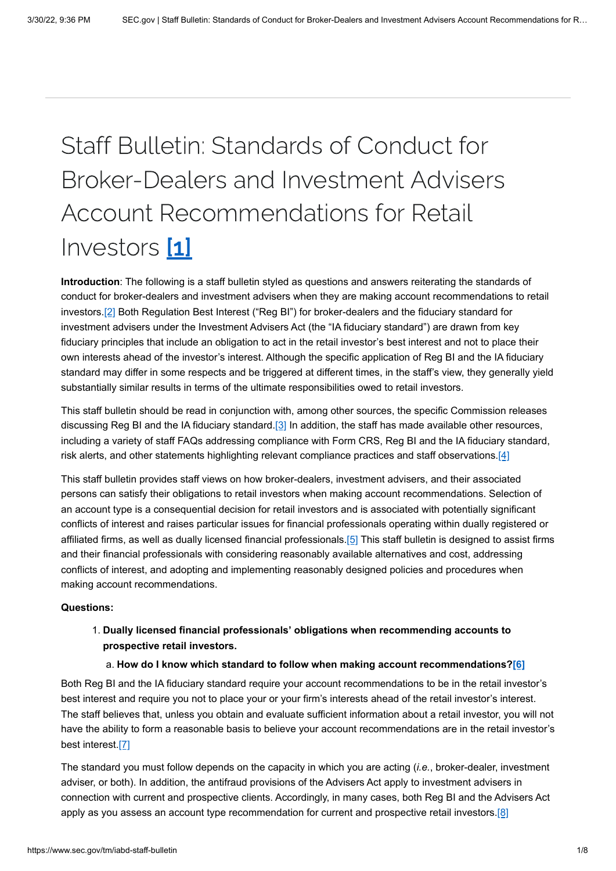# Staff Bulletin: Standards of Conduct for Broker-Dealers and Investment Advisers Account Recommendations for Retail Investors [\[1\]](#page-4-0)

<span id="page-0-1"></span><span id="page-0-0"></span>**Introduction**: The following is a staff bulletin styled as questions and answers reiterating the standards of conduct for broker-dealers and investment advisers when they are making account recommendations to retail investors.[\[2\]](#page-4-1) Both Regulation Best Interest ("Reg BI") for broker-dealers and the fiduciary standard for investment advisers under the Investment Advisers Act (the "IA fiduciary standard") are drawn from key fiduciary principles that include an obligation to act in the retail investor's best interest and not to place their own interests ahead of the investor's interest. Although the specific application of Reg BI and the IA fiduciary standard may differ in some respects and be triggered at different times, in the staff's view, they generally yield substantially similar results in terms of the ultimate responsibilities owed to retail investors.

<span id="page-0-2"></span>This staff bulletin should be read in conjunction with, among other sources, the specific Commission releases discussing Reg BI and the IA fiduciary standard[.\[3\]](#page-4-2) In addition, the staff has made available other resources, including a variety of staff FAQs addressing compliance with Form CRS, Reg BI and the IA fiduciary standard, risk alerts, and other statements highlighting relevant compliance practices and staff observations[.\[4\]](#page-4-3)

<span id="page-0-3"></span>This staff bulletin provides staff views on how broker-dealers, investment advisers, and their associated persons can satisfy their obligations to retail investors when making account recommendations. Selection of an account type is a consequential decision for retail investors and is associated with potentially significant conflicts of interest and raises particular issues for financial professionals operating within dually registered or affiliated firms, as well as dually licensed financial professionals[.\[5\]](#page-4-4) This staff bulletin is designed to assist firms and their financial professionals with considering reasonably available alternatives and cost, addressing conflicts of interest, and adopting and implementing reasonably designed policies and procedures when making account recommendations.

#### **Questions:**

## <span id="page-0-4"></span>1. **Dually licensed financial professionals' obligations when recommending accounts to prospective retail investors.**

#### <span id="page-0-7"></span><span id="page-0-5"></span>a. **How do I know which standard to follow when making account recommendations?[\[6\]](#page-5-0)**

Both Reg BI and the IA fiduciary standard require your account recommendations to be in the retail investor's best interest and require you not to place your or your firm's interests ahead of the retail investor's interest. The staff believes that, unless you obtain and evaluate sufficient information about a retail investor, you will not have the ability to form a reasonable basis to believe your account recommendations are in the retail investor's best interest.[\[7\]](#page-5-1)

<span id="page-0-6"></span>The standard you must follow depends on the capacity in which you are acting (*i.e.*, broker-dealer, investment adviser, or both). In addition, the antifraud provisions of the Advisers Act apply to investment advisers in connection with current and prospective clients. Accordingly, in many cases, both Reg BI and the Advisers Act apply as you assess an account type recommendation for current and prospective retail investors.  $[8]$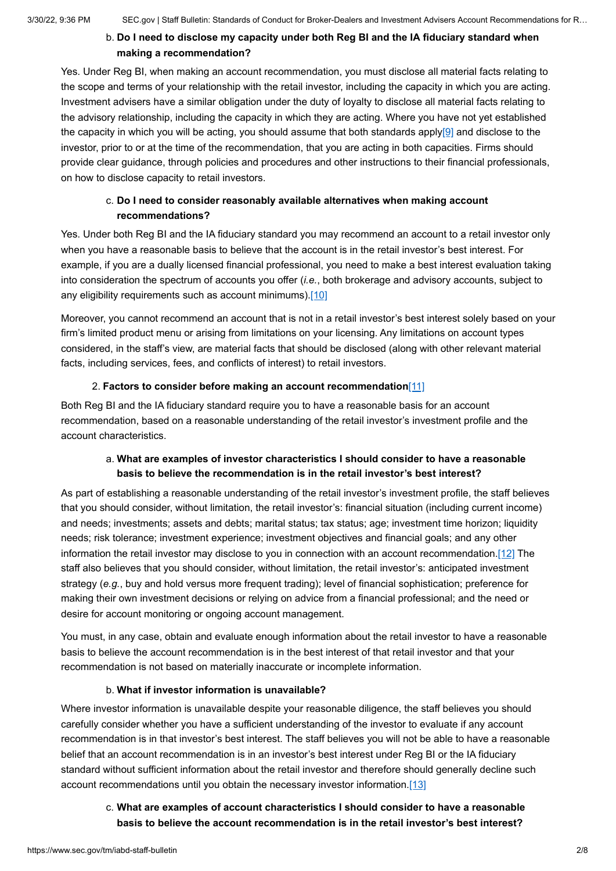## b. **Do I need to disclose my capacity under both Reg BI and the IA fiduciary standard when making a recommendation?**

Yes. Under Reg BI, when making an account recommendation, you must disclose all material facts relating to the scope and terms of your relationship with the retail investor, including the capacity in which you are acting. Investment advisers have a similar obligation under the duty of loyalty to disclose all material facts relating to the advisory relationship, including the capacity in which they are acting. Where you have not yet established the capacity in which you will be acting, you should assume that both standards appl[y\[9\]](#page-5-3) and disclose to the investor, prior to or at the time of the recommendation, that you are acting in both capacities. Firms should provide clear guidance, through policies and procedures and other instructions to their financial professionals, on how to disclose capacity to retail investors.

## <span id="page-1-1"></span><span id="page-1-0"></span>c. **Do I need to consider reasonably available alternatives when making account recommendations?**

Yes. Under both Reg BI and the IA fiduciary standard you may recommend an account to a retail investor only when you have a reasonable basis to believe that the account is in the retail investor's best interest. For example, if you are a dually licensed financial professional, you need to make a best interest evaluation taking into consideration the spectrum of accounts you offer (*i.e.*, both brokerage and advisory accounts, subject to any eligibility requirements such as account minimums).[\[10\]](#page-5-4)

Moreover, you cannot recommend an account that is not in a retail investor's best interest solely based on your firm's limited product menu or arising from limitations on your licensing. Any limitations on account types considered, in the staff's view, are material facts that should be disclosed (along with other relevant material facts, including services, fees, and conflicts of interest) to retail investors.

## 2. **Factors to consider before making an account recommendation**[\[11\]](#page-5-5)

Both Reg BI and the IA fiduciary standard require you to have a reasonable basis for an account recommendation, based on a reasonable understanding of the retail investor's investment profile and the account characteristics.

## <span id="page-1-3"></span><span id="page-1-2"></span>a. **What are examples of investor characteristics I should consider to have a reasonable basis to believe the recommendation is in the retail investor's best interest?**

As part of establishing a reasonable understanding of the retail investor's investment profile, the staff believes that you should consider, without limitation, the retail investor's: financial situation (including current income) and needs; investments; assets and debts; marital status; tax status; age; investment time horizon; liquidity needs; risk tolerance; investment experience; investment objectives and financial goals; and any other information the retail investor may disclose to you in connection with an account recommendation[.\[12\]](#page-5-6) The staff also believes that you should consider, without limitation, the retail investor's: anticipated investment strategy (*e.g.*, buy and hold versus more frequent trading); level of financial sophistication; preference for making their own investment decisions or relying on advice from a financial professional; and the need or desire for account monitoring or ongoing account management.

You must, in any case, obtain and evaluate enough information about the retail investor to have a reasonable basis to believe the account recommendation is in the best interest of that retail investor and that your recommendation is not based on materially inaccurate or incomplete information.

#### b. **What if investor information is unavailable?**

Where investor information is unavailable despite your reasonable diligence, the staff believes you should carefully consider whether you have a sufficient understanding of the investor to evaluate if any account recommendation is in that investor's best interest. The staff believes you will not be able to have a reasonable belief that an account recommendation is in an investor's best interest under Reg BI or the IA fiduciary standard without sufficient information about the retail investor and therefore should generally decline such account recommendations until you obtain the necessary investor information.[\[13\]](#page-5-7)

## <span id="page-1-4"></span>c. **What are examples of account characteristics I should consider to have a reasonable basis to believe the account recommendation is in the retail investor's best interest?**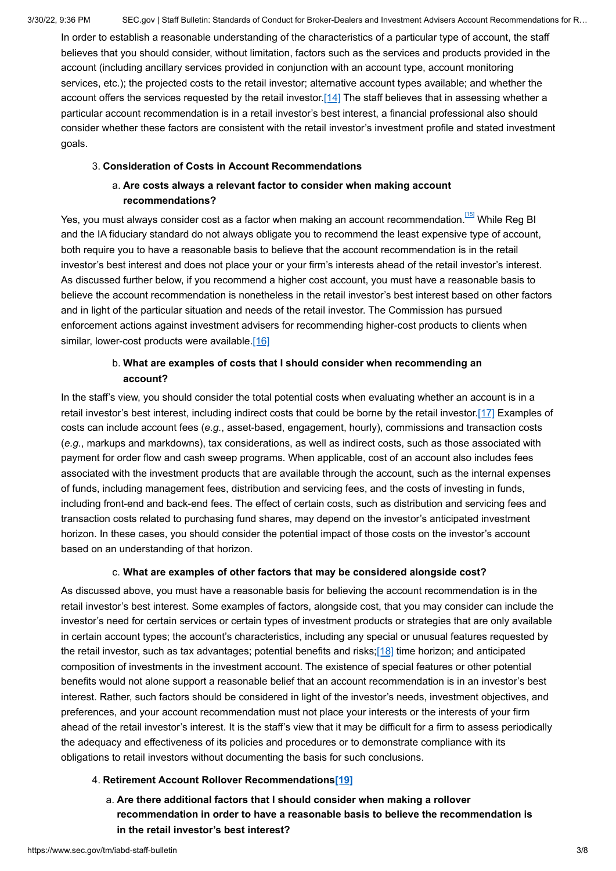In order to establish a reasonable understanding of the characteristics of a particular type of account, the staff believes that you should consider, without limitation, factors such as the services and products provided in the account (including ancillary services provided in conjunction with an account type, account monitoring services, etc.); the projected costs to the retail investor; alternative account types available; and whether the account offers the services requested by the retail investor[.\[14\]](#page-5-8) The staff believes that in assessing whether a particular account recommendation is in a retail investor's best interest, a financial professional also should consider whether these factors are consistent with the retail investor's investment profile and stated investment goals.

#### 3. **Consideration of Costs in Account Recommendations**

## <span id="page-2-1"></span><span id="page-2-0"></span>a. **Are costs always a relevant factor to consider when making account recommendations?**

Yes,you must always consider cost as a factor when making an account recommendation.<sup>[15]</sup> While Reg BI and the IA fiduciary standard do not always obligate you to recommend the least expensive type of account, both require you to have a reasonable basis to believe that the account recommendation is in the retail investor's best interest and does not place your or your firm's interests ahead of the retail investor's interest. As discussed further below, if you recommend a higher cost account, you must have a reasonable basis to believe the account recommendation is nonetheless in the retail investor's best interest based on other factors and in light of the particular situation and needs of the retail investor. The Commission has pursued enforcement actions against investment advisers for recommending higher-cost products to clients when similar, lower-cost products were available[.\[16\]](#page-5-10)

## <span id="page-2-3"></span><span id="page-2-2"></span>b. **What are examples of costs that I should consider when recommending an account?**

In the staff's view, you should consider the total potential costs when evaluating whether an account is in a retail investor's best interest, including indirect costs that could be borne by the retail investor[.\[17\]](#page-5-11) Examples of costs can include account fees (*e.g.*, asset-based, engagement, hourly), commissions and transaction costs (*e.g.*, markups and markdowns), tax considerations, as well as indirect costs, such as those associated with payment for order flow and cash sweep programs. When applicable, cost of an account also includes fees associated with the investment products that are available through the account, such as the internal expenses of funds, including management fees, distribution and servicing fees, and the costs of investing in funds, including front-end and back-end fees. The effect of certain costs, such as distribution and servicing fees and transaction costs related to purchasing fund shares, may depend on the investor's anticipated investment horizon. In these cases, you should consider the potential impact of those costs on the investor's account based on an understanding of that horizon.

## <span id="page-2-4"></span>c. **What are examples of other factors that may be considered alongside cost?**

As discussed above, you must have a reasonable basis for believing the account recommendation is in the retail investor's best interest. Some examples of factors, alongside cost, that you may consider can include the investor's need for certain services or certain types of investment products or strategies that are only available in certain account types; the account's characteristics, including any special or unusual features requested by the retail investor, such as tax advantages; potential benefits and risks[;\[18\]](#page-6-0) time horizon; and anticipated composition of investments in the investment account. The existence of special features or other potential benefits would not alone support a reasonable belief that an account recommendation is in an investor's best interest. Rather, such factors should be considered in light of the investor's needs, investment objectives, and preferences, and your account recommendation must not place your interests or the interests of your firm ahead of the retail investor's interest. It is the staff's view that it may be difficult for a firm to assess periodically the adequacy and effectiveness of its policies and procedures or to demonstrate compliance with its obligations to retail investors without documenting the basis for such conclusions.

## 4. **Retirement Account Rollover Recommendations[\[19\]](#page-6-1)**

<span id="page-2-5"></span>a. **Are there additional factors that I should consider when making a rollover recommendation in order to have a reasonable basis to believe the recommendation is in the retail investor's best interest?**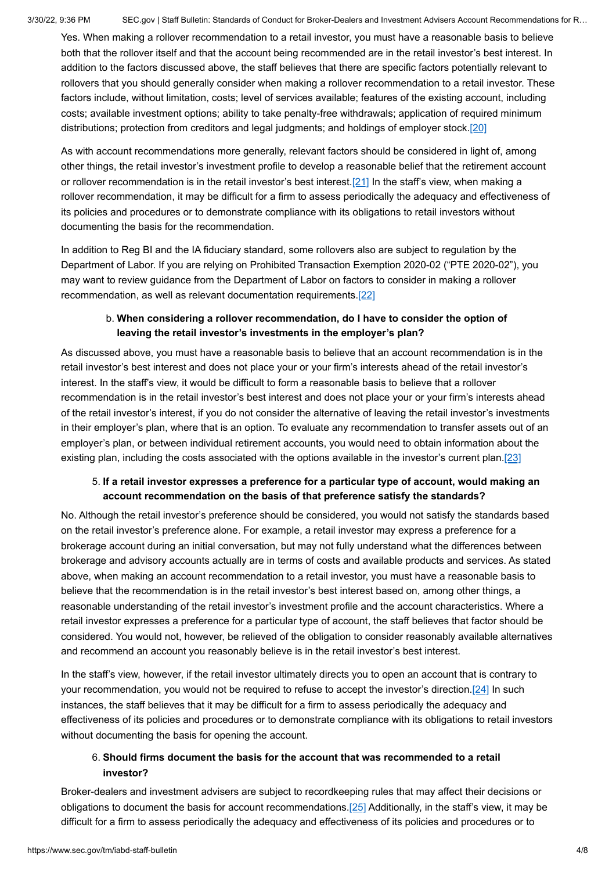Yes. When making a rollover recommendation to a retail investor, you must have a reasonable basis to believe both that the rollover itself and that the account being recommended are in the retail investor's best interest. In addition to the factors discussed above, the staff believes that there are specific factors potentially relevant to rollovers that you should generally consider when making a rollover recommendation to a retail investor. These factors include, without limitation, costs; level of services available; features of the existing account, including costs; available investment options; ability to take penalty-free withdrawals; application of required minimum distributions; protection from creditors and legal judgments; and holdings of employer stock[.\[20\]](#page-6-2)

<span id="page-3-0"></span>As with account recommendations more generally, relevant factors should be considered in light of, among other things, the retail investor's investment profile to develop a reasonable belief that the retirement account or rollover recommendation is in the retail investor's best interest[.\[21\]](#page-6-3) In the staff's view, when making a rollover recommendation, it may be difficult for a firm to assess periodically the adequacy and effectiveness of its policies and procedures or to demonstrate compliance with its obligations to retail investors without documenting the basis for the recommendation.

In addition to Reg BI and the IA fiduciary standard, some rollovers also are subject to regulation by the Department of Labor. If you are relying on Prohibited Transaction Exemption 2020-02 ("PTE 2020-02"), you may want to review guidance from the Department of Labor on factors to consider in making a rollover recommendation, as well as relevant documentation requirements.<sup>[22]</sup>

# <span id="page-3-2"></span><span id="page-3-1"></span>b. **When considering a rollover recommendation, do I have to consider the option of leaving the retail investor's investments in the employer's plan?**

As discussed above, you must have a reasonable basis to believe that an account recommendation is in the retail investor's best interest and does not place your or your firm's interests ahead of the retail investor's interest. In the staff's view, it would be difficult to form a reasonable basis to believe that a rollover recommendation is in the retail investor's best interest and does not place your or your firm's interests ahead of the retail investor's interest, if you do not consider the alternative of leaving the retail investor's investments in their employer's plan, where that is an option. To evaluate any recommendation to transfer assets out of an employer's plan, or between individual retirement accounts, you would need to obtain information about the existing plan, including the costs associated with the options available in the investor's current plan[.\[23\]](#page-6-5)

# <span id="page-3-3"></span>5. **If a retail investor expresses a preference for a particular type of account, would making an account recommendation on the basis of that preference satisfy the standards?**

No. Although the retail investor's preference should be considered, you would not satisfy the standards based on the retail investor's preference alone. For example, a retail investor may express a preference for a brokerage account during an initial conversation, but may not fully understand what the differences between brokerage and advisory accounts actually are in terms of costs and available products and services. As stated above, when making an account recommendation to a retail investor, you must have a reasonable basis to believe that the recommendation is in the retail investor's best interest based on, among other things, a reasonable understanding of the retail investor's investment profile and the account characteristics. Where a retail investor expresses a preference for a particular type of account, the staff believes that factor should be considered. You would not, however, be relieved of the obligation to consider reasonably available alternatives and recommend an account you reasonably believe is in the retail investor's best interest.

In the staff's view, however, if the retail investor ultimately directs you to open an account that is contrary to your recommendation, you would not be required to refuse to accept the investor's direction. [\[24\]](#page-6-6) In such instances, the staff believes that it may be difficult for a firm to assess periodically the adequacy and effectiveness of its policies and procedures or to demonstrate compliance with its obligations to retail investors without documenting the basis for opening the account.

# <span id="page-3-5"></span><span id="page-3-4"></span>6. **Should firms document the basis for the account that was recommended to a retail investor?**

Broker-dealers and investment advisers are subject to recordkeeping rules that may affect their decisions or obligations to document the basis for account recommendations.<sup>[25]</sup> Additionally, in the staff's view, it may be difficult for a firm to assess periodically the adequacy and effectiveness of its policies and procedures or to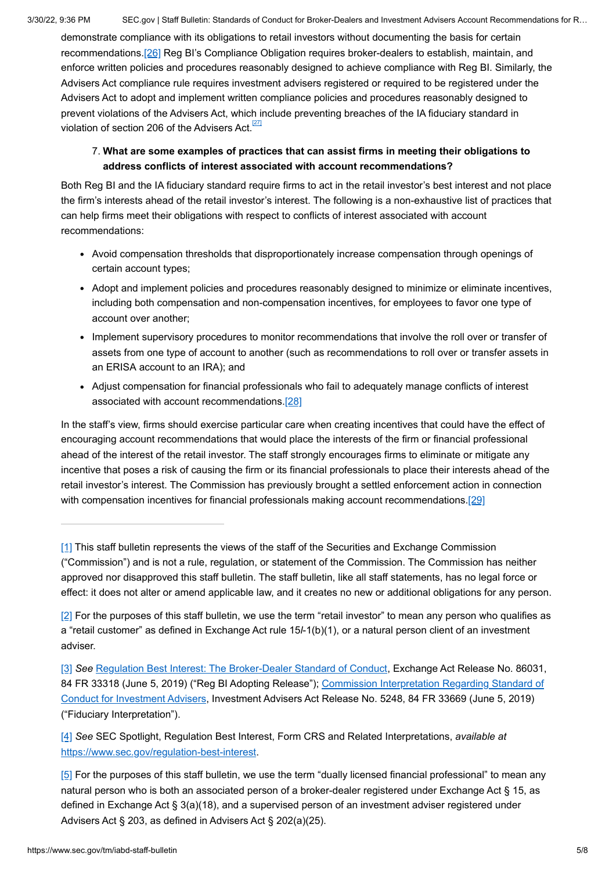<span id="page-4-5"></span>demonstrate compliance with its obligations to retail investors without documenting the basis for certain recommendations[.\[26\]](#page-6-8) Reg BI's Compliance Obligation requires broker-dealers to establish, maintain, and enforce written policies and procedures reasonably designed to achieve compliance with Reg BI. Similarly, the Advisers Act compliance rule requires investment advisers registered or required to be registered under the Advisers Act to adopt and implement written compliance policies and procedures reasonably designed to prevent violations of the Advisers Act, which include preventing breaches of the IA fiduciary standard in violation of section 206 of the Advisers Act. $\frac{[27]}{[27]}$  $\frac{[27]}{[27]}$  $\frac{[27]}{[27]}$ 

## <span id="page-4-6"></span>7. **What are some examples of practices that can assist firms in meeting their obligations to address conflicts of interest associated with account recommendations?**

Both Reg BI and the IA fiduciary standard require firms to act in the retail investor's best interest and not place the firm's interests ahead of the retail investor's interest. The following is a non-exhaustive list of practices that can help firms meet their obligations with respect to conflicts of interest associated with account recommendations:

- Avoid compensation thresholds that disproportionately increase compensation through openings of certain account types;
- Adopt and implement policies and procedures reasonably designed to minimize or eliminate incentives, including both compensation and non-compensation incentives, for employees to favor one type of account over another;
- Implement supervisory procedures to monitor recommendations that involve the roll over or transfer of assets from one type of account to another (such as recommendations to roll over or transfer assets in an ERISA account to an IRA); and
- <span id="page-4-8"></span><span id="page-4-7"></span>Adjust compensation for financial professionals who fail to adequately manage conflicts of interest associated with account recommendations.[\[28\]](#page-6-10)

In the staff's view, firms should exercise particular care when creating incentives that could have the effect of encouraging account recommendations that would place the interests of the firm or financial professional ahead of the interest of the retail investor. The staff strongly encourages firms to eliminate or mitigate any incentive that poses a risk of causing the firm or its financial professionals to place their interests ahead of the retail investor's interest. The Commission has previously brought a settled enforcement action in connection with compensation incentives for financial professionals making account recommendations.[\[29\]](#page-7-0)

<span id="page-4-0"></span>[\[1\]](#page-0-0) This staff bulletin represents the views of the staff of the Securities and Exchange Commission ("Commission") and is not a rule, regulation, or statement of the Commission. The Commission has neither approved nor disapproved this staff bulletin. The staff bulletin, like all staff statements, has no legal force or effect: it does not alter or amend applicable law, and it creates no new or additional obligations for any person.

<span id="page-4-1"></span>[\[2\]](#page-0-1) For the purposes of this staff bulletin, we use the term "retail investor" to mean any person who qualifies as a "retail customer" as defined in Exchange Act rule 15*l*-1(b)(1), or a natural person client of an investment adviser.

<span id="page-4-2"></span>[\[3\]](#page-0-2) See [Regulation Best Interest: The Broker-Dealer Standard of Conduct,](https://www.sec.gov/rules/final/2019/34-86031.pdf) Exchange Act Release No. 86031, [84 FR 33318 \(June 5, 2019\) \("Reg BI Adopting Release"\); Commission Interpretation Regarding Standard of](https://www.sec.gov/rules/interp/2019/ia-5248.pdf) Conduct for Investment Advisers, Investment Advisers Act Release No. 5248, 84 FR 33669 (June 5, 2019) ("Fiduciary Interpretation").

<span id="page-4-3"></span>[\[4\]](#page-0-3) *See* SEC Spotlight, Regulation Best Interest, Form CRS and Related Interpretations, *available at* <https://www.sec.gov/regulation-best-interest>.

<span id="page-4-4"></span>[\[5\]](#page-0-4) For the purposes of this staff bulletin, we use the term "dually licensed financial professional" to mean any natural person who is both an associated person of a broker-dealer registered under Exchange Act § 15, as defined in Exchange Act § 3(a)(18), and a supervised person of an investment adviser registered under Advisers Act § 203, as defined in Advisers Act § 202(a)(25).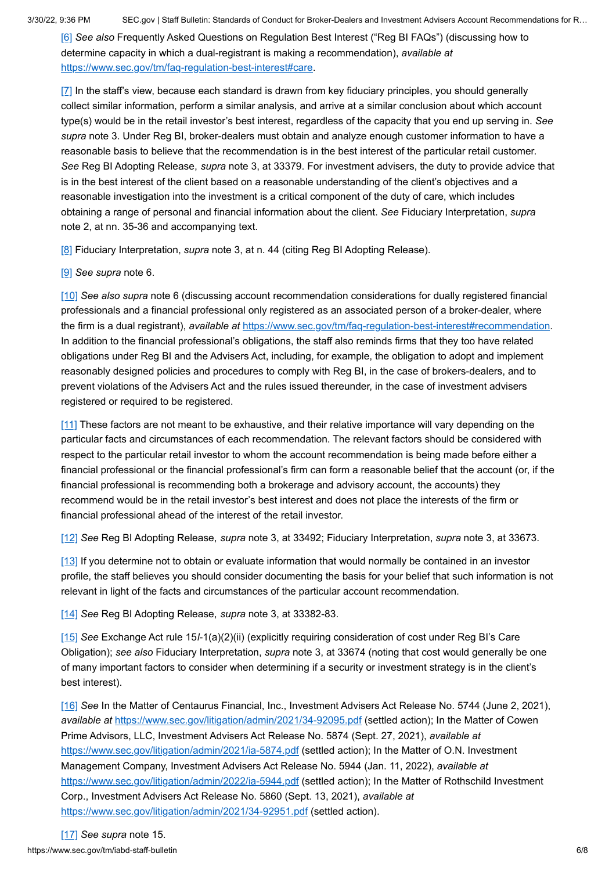<span id="page-5-0"></span>[\[6\]](#page-0-5) *See also* Frequently Asked Questions on Regulation Best Interest ("Reg BI FAQs") (discussing how to determine capacity in which a dual-registrant is making a recommendation), *available at* <https://www.sec.gov/tm/faq-regulation-best-interest#care>.

<span id="page-5-1"></span> $[7]$  In the staff's view, because each standard is drawn from key fiduciary principles, you should generally collect similar information, perform a similar analysis, and arrive at a similar conclusion about which account type(s) would be in the retail investor's best interest, regardless of the capacity that you end up serving in. *See supra* note 3. Under Reg BI, broker-dealers must obtain and analyze enough customer information to have a reasonable basis to believe that the recommendation is in the best interest of the particular retail customer. *See* Reg BI Adopting Release, *supra* note 3, at 33379. For investment advisers, the duty to provide advice that is in the best interest of the client based on a reasonable understanding of the client's objectives and a reasonable investigation into the investment is a critical component of the duty of care, which includes obtaining a range of personal and financial information about the client. *See* Fiduciary Interpretation, *supra* note 2, at nn. 35-36 and accompanying text.

<span id="page-5-2"></span>[\[8\]](#page-0-7) Fiduciary Interpretation, *supra* note 3, at n. 44 (citing Reg BI Adopting Release).

<span id="page-5-3"></span>[\[9\]](#page-1-0) *See supra* note 6.

<span id="page-5-4"></span>[\[10\]](#page-1-1) *See also supra* note 6 (discussing account recommendation considerations for dually registered financial professionals and a financial professional only registered as an associated person of a broker-dealer, where the firm is a dual registrant), *available at* [https://www.sec.gov/tm/faq-regulation-best-interest#recommendation.](https://www.sec.gov/tm/faq-regulation-best-interest#recommendation) In addition to the financial professional's obligations, the staff also reminds firms that they too have related obligations under Reg BI and the Advisers Act, including, for example, the obligation to adopt and implement reasonably designed policies and procedures to comply with Reg BI, in the case of brokers-dealers, and to prevent violations of the Advisers Act and the rules issued thereunder, in the case of investment advisers registered or required to be registered.

<span id="page-5-5"></span>[\[11\]](#page-1-2) These factors are not meant to be exhaustive, and their relative importance will vary depending on the particular facts and circumstances of each recommendation. The relevant factors should be considered with respect to the particular retail investor to whom the account recommendation is being made before either a financial professional or the financial professional's firm can form a reasonable belief that the account (or, if the financial professional is recommending both a brokerage and advisory account, the accounts) they recommend would be in the retail investor's best interest and does not place the interests of the firm or financial professional ahead of the interest of the retail investor.

<span id="page-5-6"></span>[\[12\]](#page-1-3) *See* Reg BI Adopting Release, *supra* note 3, at 33492; Fiduciary Interpretation, *supra* note 3, at 33673.

<span id="page-5-7"></span>[\[13\]](#page-1-4) If you determine not to obtain or evaluate information that would normally be contained in an investor profile, the staff believes you should consider documenting the basis for your belief that such information is not relevant in light of the facts and circumstances of the particular account recommendation.

<span id="page-5-8"></span>[\[14\]](#page-2-0) *See* Reg BI Adopting Release, *supra* note 3, at 33382-83.

<span id="page-5-9"></span>[\[15\]](#page-2-1) *See* Exchange Act rule 15*l*-1(a)(2)(ii) (explicitly requiring consideration of cost under Reg BI's Care Obligation); *see also* Fiduciary Interpretation, *supra* note 3, at 33674 (noting that cost would generally be one of many important factors to consider when determining if a security or investment strategy is in the client's best interest).

<span id="page-5-11"></span><span id="page-5-10"></span>[\[16\]](#page-2-2) *See* In the Matter of Centaurus Financial, Inc., Investment Advisers Act Release No. 5744 (June 2, 2021), *available at* [https://www.sec.gov/litigation/admin/2021/34-92095.pdf](https://www.sec.gov/litigation/admin/2021/34-92095.pdf%20) (settled action); In the Matter of Cowen Prime Advisors, LLC, Investment Advisers Act Release No. 5874 (Sept. 27, 2021), *available at* <https://www.sec.gov/litigation/admin/2021/ia-5874.pdf>(settled action); In the Matter of O.N. Investment Management Company, Investment Advisers Act Release No. 5944 (Jan. 11, 2022), *available at* <https://www.sec.gov/litigation/admin/2022/ia-5944.pdf>(settled action); In the Matter of Rothschild Investment Corp., Investment Advisers Act Release No. 5860 (Sept. 13, 2021), *available at* <https://www.sec.gov/litigation/admin/2021/34-92951.pdf>(settled action).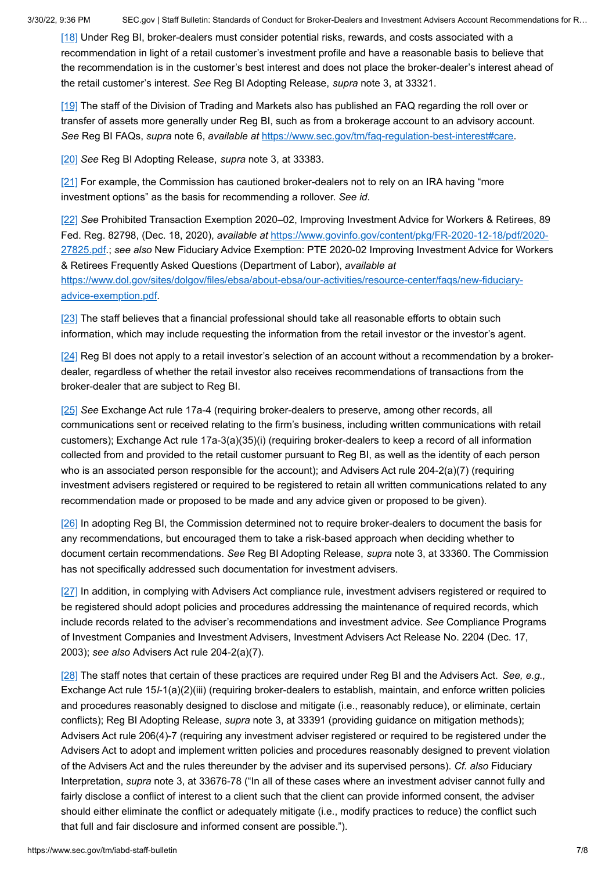<span id="page-6-0"></span>[\[18\]](#page-2-4) Under Reg BI, broker-dealers must consider potential risks, rewards, and costs associated with a recommendation in light of a retail customer's investment profile and have a reasonable basis to believe that the recommendation is in the customer's best interest and does not place the broker-dealer's interest ahead of the retail customer's interest. *See* Reg BI Adopting Release, *supra* note 3, at 33321.

<span id="page-6-1"></span>[\[19\]](#page-2-5) The staff of the Division of Trading and Markets also has published an FAQ regarding the roll over or transfer of assets more generally under Reg BI, such as from a brokerage account to an advisory account. *See* Reg BI FAQs, *supra* note 6, *available at* <https://www.sec.gov/tm/faq-regulation-best-interest#care>.

<span id="page-6-2"></span>[\[20\]](#page-3-0) *See* Reg BI Adopting Release, *supra* note 3, at 33383.

<span id="page-6-3"></span>[\[21\]](#page-3-1) For example, the Commission has cautioned broker-dealers not to rely on an IRA having "more investment options" as the basis for recommending a rollover. *See id*.

<span id="page-6-4"></span>[\[22\]](#page-3-2) *See* Prohibited Transaction Exemption 2020–02, Improving Investment Advice for Workers & Retirees, 89 Fed. Reg. 82798, (Dec. 18, 2020), *available at* https://www.govinfo.gov/content/pkg/FR-2020-12-18/pdf/2020- 27825.pdf.; *see also* [New Fiduciary Advice Exemption: PTE 2020-02 Improving Investment Advice for Workers](https://www.govinfo.gov/content/pkg/FR-2020-12-18/pdf/2020-27825.pdf) & Retirees Frequently Asked Questions (Department of Labor), *available at* [https://www.dol.gov/sites/dolgov/files/ebsa/about-ebsa/our-activities/resource-center/faqs/new-fiduciary](https://www.dol.gov/sites/dolgov/files/ebsa/about-ebsa/our-activities/resource-center/faqs/new-fiduciary-advice-exemption.pdf)advice-exemption.pdf.

<span id="page-6-5"></span>[\[23\]](#page-3-3) The staff believes that a financial professional should take all reasonable efforts to obtain such information, which may include requesting the information from the retail investor or the investor's agent.

<span id="page-6-6"></span>[\[24\]](#page-3-4) Reg BI does not apply to a retail investor's selection of an account without a recommendation by a brokerdealer, regardless of whether the retail investor also receives recommendations of transactions from the broker-dealer that are subject to Reg BI.

<span id="page-6-7"></span>[\[25\]](#page-3-5) *See* Exchange Act rule 17a-4 (requiring broker-dealers to preserve, among other records, all communications sent or received relating to the firm's business, including written communications with retail customers); Exchange Act rule 17a-3(a)(35)(i) (requiring broker-dealers to keep a record of all information collected from and provided to the retail customer pursuant to Reg BI, as well as the identity of each person who is an associated person responsible for the account); and Advisers Act rule 204-2(a)(7) (requiring investment advisers registered or required to be registered to retain all written communications related to any recommendation made or proposed to be made and any advice given or proposed to be given).

<span id="page-6-8"></span>[\[26\]](#page-4-5) In adopting Reg BI, the Commission determined not to require broker-dealers to document the basis for any recommendations, but encouraged them to take a risk-based approach when deciding whether to document certain recommendations. *See* Reg BI Adopting Release, *supra* note 3, at 33360. The Commission has not specifically addressed such documentation for investment advisers.

<span id="page-6-9"></span>[\[27\]](#page-4-6) In addition, in complying with Advisers Act compliance rule, investment advisers registered or required to be registered should adopt policies and procedures addressing the maintenance of required records, which include records related to the adviser's recommendations and investment advice. *See* Compliance Programs of Investment Companies and Investment Advisers, Investment Advisers Act Release No. 2204 (Dec. 17, 2003); *see also* Advisers Act rule 204-2(a)(7).

<span id="page-6-10"></span>[\[28\]](#page-4-7) The staff notes that certain of these practices are required under Reg BI and the Advisers Act. *See, e.g.,* Exchange Act rule 15*l*-1(a)(2)(iii) (requiring broker-dealers to establish, maintain, and enforce written policies and procedures reasonably designed to disclose and mitigate (i.e., reasonably reduce), or eliminate, certain conflicts); Reg BI Adopting Release, *supra* note 3, at 33391 (providing guidance on mitigation methods); Advisers Act rule 206(4)-7 (requiring any investment adviser registered or required to be registered under the Advisers Act to adopt and implement written policies and procedures reasonably designed to prevent violation of the Advisers Act and the rules thereunder by the adviser and its supervised persons). *Cf. also* Fiduciary Interpretation, *supra* note 3, at 33676-78 ("In all of these cases where an investment adviser cannot fully and fairly disclose a conflict of interest to a client such that the client can provide informed consent, the adviser should either eliminate the conflict or adequately mitigate (i.e., modify practices to reduce) the conflict such that full and fair disclosure and informed consent are possible.").